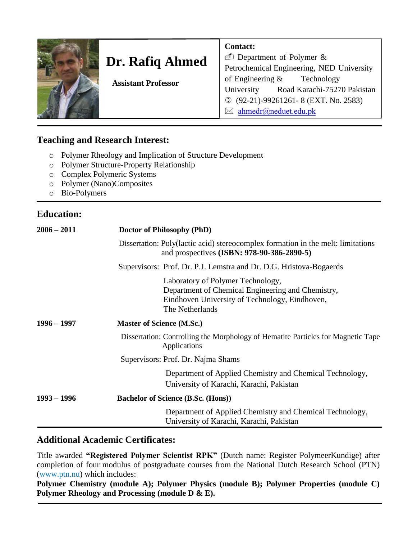

# **Dr. Rafiq Ahmed**

**Contact:** 

Department of Polymer & Petrochemical Engineering, NED University of Engineering & Technology University Road Karachi-75270 Pakistan (92-21)-99261261- 8 (EXT. No. 2583)  $\boxtimes$  [ahmedr@neduet.edu.pk](mailto:ahmedr@neduet.edu.com)

 **Assistant Professor**

## **Teaching and Research Interest:**

- o Polymer Rheology and Implication of Structure Development
- o Polymer Structure-Property Relationship
- o Complex Polymeric Systems
- o Polymer (Nano)Composites
- o Bio-Polymers

## **Education:**

| $2006 - 2011$ | Doctor of Philosophy (PhD)                                                                                                                                  |
|---------------|-------------------------------------------------------------------------------------------------------------------------------------------------------------|
|               | Dissertation: Poly(lactic acid) stereocomplex formation in the melt: limitations<br>and prospectives (ISBN: 978-90-386-2890-5)                              |
|               | Supervisors: Prof. Dr. P.J. Lemstra and Dr. D.G. Hristova-Bogaerds                                                                                          |
|               | Laboratory of Polymer Technology,<br>Department of Chemical Engineering and Chemistry,<br>Eindhoven University of Technology, Eindhoven,<br>The Netherlands |
| $1996 - 1997$ | <b>Master of Science (M.Sc.)</b>                                                                                                                            |
|               | Dissertation: Controlling the Morphology of Hematite Particles for Magnetic Tape<br>Applications                                                            |
|               | Supervisors: Prof. Dr. Najma Shams                                                                                                                          |
|               | Department of Applied Chemistry and Chemical Technology,<br>University of Karachi, Karachi, Pakistan                                                        |
| $1993 - 1996$ | <b>Bachelor of Science (B.Sc. (Hons))</b>                                                                                                                   |
|               | Department of Applied Chemistry and Chemical Technology,<br>University of Karachi, Karachi, Pakistan                                                        |

## **Additional Academic Certificates:**

Title awarded **"Registered Polymer Scientist RPK"** (Dutch name: Register PolymeerKundige) after completion of four modulus of postgraduate courses from the National Dutch Research School (PTN) (www.ptn.nu) which includes:

**Polymer Chemistry (module A); Polymer Physics (module B); Polymer Properties (module C) Polymer Rheology and Processing (module D & E).**